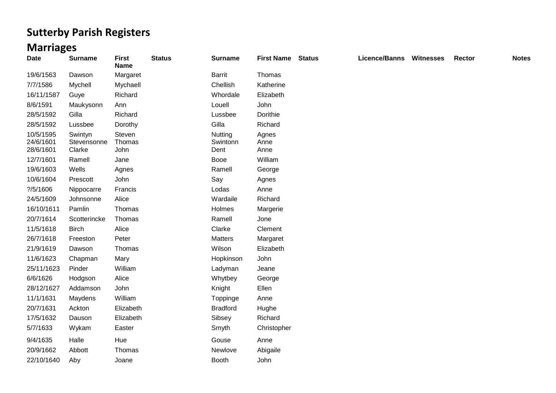## **Sutterby Parish Registers**

## **Marriages**

| <b>Date</b>                         | <b>Surname</b>                   | <b>First</b><br><b>Name</b> | <b>Status</b> | <b>Surname</b>              | <b>First Name</b>     | <b>Status</b> | Licence/Banns | <b>Witnesses</b> | Rector | <b>Notes</b> |
|-------------------------------------|----------------------------------|-----------------------------|---------------|-----------------------------|-----------------------|---------------|---------------|------------------|--------|--------------|
| 19/6/1563                           | Dawson                           | Margaret                    |               | Barrit                      | Thomas                |               |               |                  |        |              |
| 7/7/1586                            | Mychell                          | Mychaell                    |               | Chellish                    | Katherine             |               |               |                  |        |              |
| 16/11/1587                          | Guye                             | Richard                     |               | Whordale                    | Elizabeth             |               |               |                  |        |              |
| 8/6/1591                            | Maukysonn                        | Ann                         |               | Louell                      | John                  |               |               |                  |        |              |
| 28/5/1592                           | Gilla                            | Richard                     |               | Lussbee                     | Dorithie              |               |               |                  |        |              |
| 28/5/1592                           | Lussbee                          | Dorothy                     |               | Gilla                       | Richard               |               |               |                  |        |              |
| 10/5/1595<br>24/6/1601<br>28/6/1601 | Swintyn<br>Stevensonne<br>Clarke | Steven<br>Thomas<br>John    |               | Nutting<br>Swintonn<br>Dent | Agnes<br>Anne<br>Anne |               |               |                  |        |              |
| 12/7/1601                           | Ramell                           | Jane                        |               | Booe                        | William               |               |               |                  |        |              |
| 19/6/1603                           | Wells                            | Agnes                       |               | Ramell                      | George                |               |               |                  |        |              |
| 10/6/1604                           | Prescott                         | John                        |               | Say                         | Agnes                 |               |               |                  |        |              |
| ? / 5 / 1606                        | Nippocarre                       | Francis                     |               | Lodas                       | Anne                  |               |               |                  |        |              |
| 24/5/1609                           | Johnsonne                        | Alice                       |               | Wardaile                    | Richard               |               |               |                  |        |              |
| 16/10/1611                          | Pamlin                           | Thomas                      |               | Holmes                      | Margerie              |               |               |                  |        |              |
| 20/7/1614                           | Scotterincke                     | Thomas                      |               | Ramell                      | Jone                  |               |               |                  |        |              |
| 11/5/1618                           | <b>Birch</b>                     | Alice                       |               | Clarke                      | Clement               |               |               |                  |        |              |
| 26/7/1618                           | Freeston                         | Peter                       |               | Matters                     | Margaret              |               |               |                  |        |              |
| 21/9/1619                           | Dawson                           | Thomas                      |               | Wilson                      | Elizabeth             |               |               |                  |        |              |
| 11/6/1623                           | Chapman                          | Mary                        |               | Hopkinson                   | John                  |               |               |                  |        |              |
| 25/11/1623                          | Pinder                           | William                     |               | Ladyman                     | Jeane                 |               |               |                  |        |              |
| 6/6/1626                            | Hodgson                          | Alice                       |               | Whytbey                     | George                |               |               |                  |        |              |
| 28/12/1627                          | Addamson                         | John                        |               | Knight                      | Ellen                 |               |               |                  |        |              |
| 11/1/1631                           | Maydens                          | William                     |               | Toppinge                    | Anne                  |               |               |                  |        |              |
| 20/7/1631                           | Ackton                           | Elizabeth                   |               | <b>Bradford</b>             | Hughe                 |               |               |                  |        |              |
| 17/5/1632                           | Dauson                           | Elizabeth                   |               | Sibsey                      | Richard               |               |               |                  |        |              |
| 5/7/1633                            | Wykam                            | Easter                      |               | Smyth                       | Christopher           |               |               |                  |        |              |
| 9/4/1635                            | Halle                            | Hue                         |               | Gouse                       | Anne                  |               |               |                  |        |              |
| 20/9/1662                           | Abbott                           | Thomas                      |               | Newlove                     | Abigaile              |               |               |                  |        |              |
| 22/10/1640                          | Aby                              | Joane                       |               | <b>Booth</b>                | John                  |               |               |                  |        |              |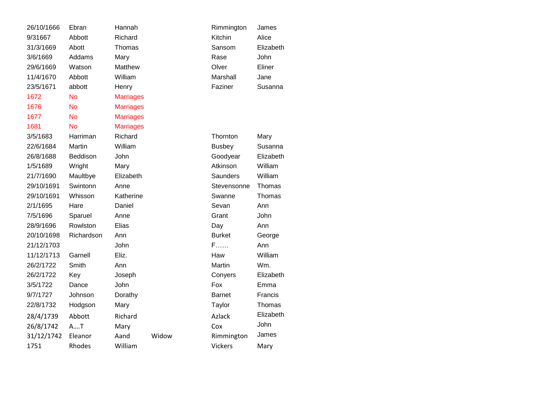| Ebran      | Hannah                  |                                                                 | Rimmington     | James                       |
|------------|-------------------------|-----------------------------------------------------------------|----------------|-----------------------------|
| Abbott     | Richard                 |                                                                 | Kitchin        | Alice                       |
| Abott      | Thomas                  |                                                                 | Sansom         | Elizabeth                   |
| Addams     | Mary                    |                                                                 | Rase           | John                        |
| Watson     | Matthew                 |                                                                 | Olver          | Eliner                      |
| Abbott     | William                 |                                                                 | Marshall       | Jane                        |
| abbott     | Henry                   |                                                                 | Faziner        | Susanna                     |
| <b>No</b>  |                         |                                                                 |                |                             |
| <b>No</b>  |                         |                                                                 |                |                             |
| No         | <b>Marriages</b>        |                                                                 |                |                             |
| <b>No</b>  | <b>Marriages</b>        |                                                                 |                |                             |
| Harriman   | Richard                 |                                                                 | Thornton       | Mary                        |
| Martin     | William                 |                                                                 | <b>Busbey</b>  | Susanna                     |
| Beddison   | John                    |                                                                 | Goodyear       | Elizabeth                   |
| Wright     | Mary                    |                                                                 | Atkinson       | William                     |
| Maultbye   | Elizabeth               |                                                                 | Saunders       | William                     |
| Swintonn   | Anne                    |                                                                 | Stevensonne    | Thomas                      |
| Whisson    | Katherine               |                                                                 | Swanne         | Thomas                      |
| Hare       | Daniel                  |                                                                 | Sevan          | Ann                         |
| Sparuel    | Anne                    |                                                                 | Grant          | John                        |
| Rowlston   | Elias                   |                                                                 | Day            | Ann                         |
| Richardson | Ann                     |                                                                 | <b>Burket</b>  | George                      |
|            | John                    |                                                                 | $F$            | Ann                         |
| Garnell    | Eliz.                   |                                                                 | Haw            | William                     |
| Smith      | Ann                     |                                                                 | Martin         | Wm.                         |
| Key        | Joseph                  |                                                                 | Conyers        | Elizabeth                   |
| Dance      | John                    |                                                                 | Fox            | Emma                        |
| Johnson    | Dorathy                 |                                                                 | <b>Barnet</b>  | Francis                     |
| Hodgson    | Mary                    |                                                                 | Taylor         | Thomas                      |
|            |                         |                                                                 |                | Elizabeth                   |
|            |                         |                                                                 |                | John                        |
|            |                         |                                                                 |                | James                       |
| Rhodes     | William                 |                                                                 | <b>Vickers</b> | Mary                        |
|            | Abbott<br>AT<br>Eleanor | <b>Marriages</b><br><b>Marriages</b><br>Richard<br>Mary<br>Aand | Widow          | Azlack<br>Cox<br>Rimmington |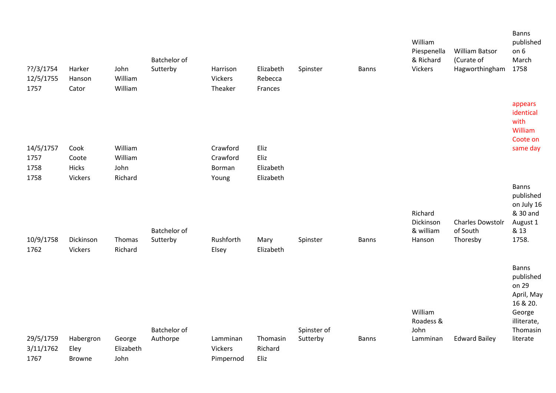| ??/3/1754<br>12/5/1755<br>1757 | Harker<br>Hanson<br>Cator          | John<br>William<br>William  | <b>Batchelor of</b><br>Sutterby | Harrison<br>Vickers<br>Theaker          | Elizabeth<br>Rebecca<br>Frances | Spinster                | <b>Banns</b> | William<br>Piespenella<br>& Richard<br>Vickers | <b>William Batsor</b><br>(Curate of<br>Hagworthingham | <b>Banns</b><br>published<br>on 6<br>March<br>1758                    |
|--------------------------------|------------------------------------|-----------------------------|---------------------------------|-----------------------------------------|---------------------------------|-------------------------|--------------|------------------------------------------------|-------------------------------------------------------|-----------------------------------------------------------------------|
| 14/5/1757<br>1757              | Cook<br>Coote                      | William<br>William          |                                 | Crawford<br>Crawford                    | Eliz<br>Eliz                    |                         |              |                                                |                                                       | appears<br>identical<br>with<br>William<br>Coote on<br>same day       |
| 1758<br>1758                   | Hicks<br>Vickers                   | John<br>Richard             |                                 | Borman<br>Young                         | Elizabeth<br>Elizabeth          |                         |              | Richard                                        |                                                       | <b>Banns</b><br>published<br>on July 16<br>& 30 and                   |
| 10/9/1758<br>1762              | Dickinson<br>Vickers               | Thomas<br>Richard           | <b>Batchelor of</b><br>Sutterby | Rushforth<br>Elsey                      | Mary<br>Elizabeth               | Spinster                | <b>Banns</b> | Dickinson<br>& william<br>Hanson               | <b>Charles Dowstolr</b><br>of South<br>Thoresby       | August 1<br>& 13<br>1758.<br><b>Banns</b>                             |
|                                |                                    |                             |                                 |                                         |                                 |                         |              | William<br>Roadess &                           |                                                       | published<br>on 29<br>April, May<br>16 & 20.<br>George<br>illiterate, |
| 29/5/1759<br>3/11/1762<br>1767 | Habergron<br>Eley<br><b>Browne</b> | George<br>Elizabeth<br>John | <b>Batchelor</b> of<br>Authorpe | Lamminan<br><b>Vickers</b><br>Pimpernod | Thomasin<br>Richard<br>Eliz     | Spinster of<br>Sutterby | <b>Banns</b> | John<br>Lamminan                               | <b>Edward Bailey</b>                                  | Thomasin<br>literate                                                  |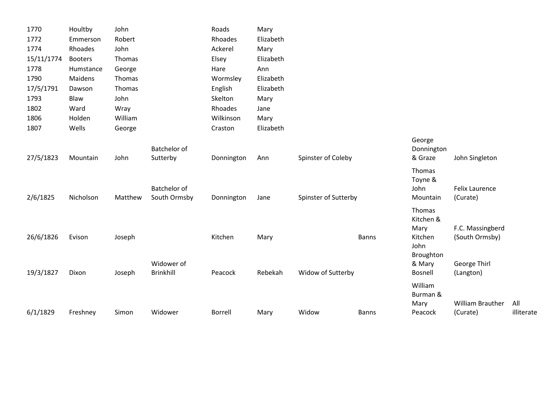| 1770       | Houltby        | John    |                                | Roads          | Mary      |                      |              |                          |                         |            |
|------------|----------------|---------|--------------------------------|----------------|-----------|----------------------|--------------|--------------------------|-------------------------|------------|
| 1772       | Emmerson       | Robert  |                                | Rhoades        | Elizabeth |                      |              |                          |                         |            |
| 1774       | Rhoades        | John    |                                | Ackerel        | Mary      |                      |              |                          |                         |            |
| 15/11/1774 | <b>Booters</b> | Thomas  |                                | Elsey          | Elizabeth |                      |              |                          |                         |            |
| 1778       | Humstance      | George  |                                | Hare           | Ann       |                      |              |                          |                         |            |
| 1790       | Maidens        | Thomas  |                                | Wormsley       | Elizabeth |                      |              |                          |                         |            |
| 17/5/1791  | Dawson         | Thomas  |                                | English        | Elizabeth |                      |              |                          |                         |            |
| 1793       | Blaw           | John    |                                | Skelton        | Mary      |                      |              |                          |                         |            |
| 1802       | Ward           | Wray    |                                | Rhoades        | Jane      |                      |              |                          |                         |            |
| 1806       | Holden         | William |                                | Wilkinson      | Mary      |                      |              |                          |                         |            |
| 1807       | Wells          | George  |                                | Craston        | Elizabeth |                      |              |                          |                         |            |
|            |                |         |                                |                |           |                      |              | George                   |                         |            |
|            |                |         | <b>Batchelor of</b>            |                |           |                      |              | Donnington               |                         |            |
| 27/5/1823  | Mountain       | John    | Sutterby                       | Donnington     | Ann       | Spinster of Coleby   |              | & Graze                  | John Singleton          |            |
|            |                |         |                                |                |           |                      |              | Thomas                   |                         |            |
|            |                |         |                                |                |           |                      |              | Toyne &                  |                         |            |
|            |                |         | <b>Batchelor of</b>            |                |           |                      |              | John                     | <b>Felix Laurence</b>   |            |
| 2/6/1825   | Nicholson      | Matthew | South Ormsby                   | Donnington     | Jane      | Spinster of Sutterby |              | Mountain                 | (Curate)                |            |
|            |                |         |                                |                |           |                      |              | Thomas                   |                         |            |
|            |                |         |                                |                |           |                      |              | Kitchen &                |                         |            |
|            |                |         |                                |                |           |                      |              | Mary                     | F.C. Massingberd        |            |
| 26/6/1826  | Evison         | Joseph  |                                | Kitchen        | Mary      |                      | <b>Banns</b> | Kitchen                  | (South Ormsby)          |            |
|            |                |         |                                |                |           |                      |              | John                     |                         |            |
|            |                |         |                                |                |           |                      |              | Broughton                |                         |            |
| 19/3/1827  | Dixon          | Joseph  | Widower of<br><b>Brinkhill</b> | Peacock        | Rebekah   | Widow of Sutterby    |              | & Mary<br><b>Bosnell</b> | George Thirl            |            |
|            |                |         |                                |                |           |                      |              |                          | (Langton)               |            |
|            |                |         |                                |                |           |                      |              | William                  |                         |            |
|            |                |         |                                |                |           |                      |              | Burman &                 |                         |            |
|            |                |         |                                |                |           |                      |              | Mary                     | <b>William Brauther</b> | All        |
| 6/1/1829   | Freshney       | Simon   | Widower                        | <b>Borrell</b> | Mary      | Widow                | <b>Banns</b> | Peacock                  | (Curate)                | illiterate |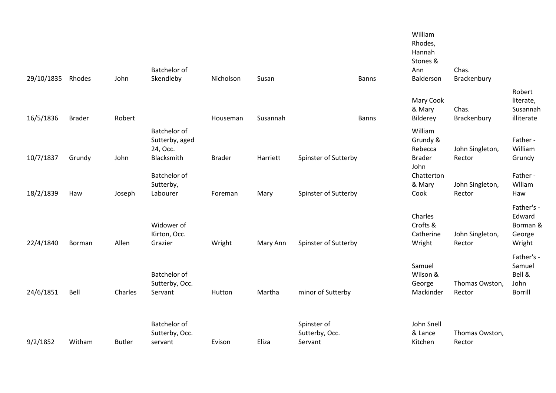| 29/10/1835 Rhodes |               | John          | Batchelor of<br>Skendleby                                | Nicholson     | Susan    | <b>Banns</b>                             | William<br>Rhodes,<br>Hannah<br>Stones &<br>Ann<br>Balderson | Chas.<br>Brackenbury      |                                                          |
|-------------------|---------------|---------------|----------------------------------------------------------|---------------|----------|------------------------------------------|--------------------------------------------------------------|---------------------------|----------------------------------------------------------|
| 16/5/1836         | <b>Brader</b> | Robert        |                                                          | Houseman      | Susannah | <b>Banns</b>                             | Mary Cook<br>& Mary<br>Bilderey                              | Chas.<br>Brackenbury      | Robert<br>literate,<br>Susannah<br>illiterate            |
| 10/7/1837         | Grundy        | John          | Batchelor of<br>Sutterby, aged<br>24, Осс.<br>Blacksmith | <b>Brader</b> | Harriett | Spinster of Sutterby                     | William<br>Grundy &<br>Rebecca<br><b>Brader</b>              | John Singleton,<br>Rector | Father -<br>William<br>Grundy                            |
| 18/2/1839         | Haw           | Joseph        | <b>Batchelor of</b><br>Sutterby,<br>Labourer             | Foreman       | Mary     | Spinster of Sutterby                     | John<br>Chatterton<br>& Mary<br>Cook                         | John Singleton,<br>Rector | Father -<br>Wlliam<br>Haw                                |
| 22/4/1840         | Borman        | Allen         | Widower of<br>Kirton, Occ.<br>Grazier                    | Wright        | Mary Ann | Spinster of Sutterby                     | Charles<br>Crofts &<br>Catherine<br>Wright                   | John Singleton,<br>Rector | Father's -<br>Edward<br>Borman &<br>George<br>Wright     |
| 24/6/1851         | Bell          | Charles       | Batchelor of<br>Sutterby, Occ.<br>Servant                | Hutton        | Martha   | minor of Sutterby                        | Samuel<br>Wilson &<br>George<br>Mackinder                    | Thomas Owston,<br>Rector  | Father's -<br>Samuel<br>Bell &<br>John<br><b>Borrill</b> |
| 9/2/1852          | Witham        | <b>Butler</b> | Batchelor of<br>Sutterby, Occ.<br>servant                | Evison        | Eliza    | Spinster of<br>Sutterby, Occ.<br>Servant | John Snell<br>& Lance<br>Kitchen                             | Thomas Owston,<br>Rector  |                                                          |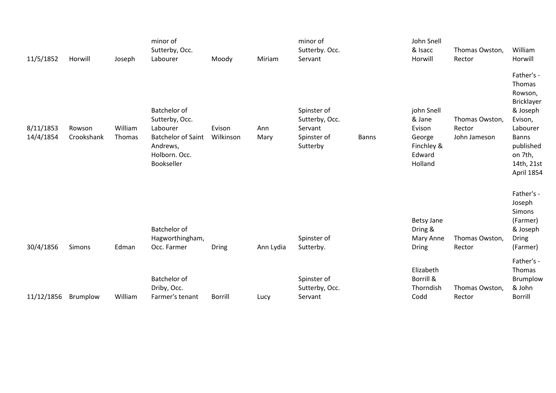| 11/5/1852              | Horwill              | Joseph            | minor of<br>Sutterby, Occ.<br>Labourer                                                                             | Moody               | Miriam      | minor of<br>Sutterby. Occ.<br>Servant                               |              | John Snell<br>& Isacc<br>Horwill                                            | Thomas Owston,<br>Rector                 | William<br>Horwill                                                                                                                                   |
|------------------------|----------------------|-------------------|--------------------------------------------------------------------------------------------------------------------|---------------------|-------------|---------------------------------------------------------------------|--------------|-----------------------------------------------------------------------------|------------------------------------------|------------------------------------------------------------------------------------------------------------------------------------------------------|
| 8/11/1853<br>14/4/1854 | Rowson<br>Crookshank | William<br>Thomas | Batchelor of<br>Sutterby, Occ.<br>Labourer<br><b>Batchelor of Saint</b><br>Andrews,<br>Holborn. Occ.<br>Bookseller | Evison<br>Wilkinson | Ann<br>Mary | Spinster of<br>Sutterby, Occ.<br>Servant<br>Spinster of<br>Sutterby | <b>Banns</b> | john Snell<br>& Jane<br>Evison<br>George<br>Finchley &<br>Edward<br>Holland | Thomas Owston,<br>Rector<br>John Jameson | Father's -<br>Thomas<br>Rowson,<br>Bricklayer<br>& Joseph<br>Evison,<br>Labourer<br><b>Banns</b><br>published<br>on 7th,<br>14th, 21st<br>April 1854 |
| 30/4/1856              | Simons               | Edman             | Batchelor of<br>Hagworthingham,<br>Occ. Farmer                                                                     | <b>Dring</b>        | Ann Lydia   | Spinster of<br>Sutterby.                                            |              | <b>Betsy Jane</b><br>Dring &<br>Mary Anne<br><b>Dring</b>                   | Thomas Owston,<br>Rector                 | Father's -<br>Joseph<br>Simons<br>(Farmer)<br>& Joseph<br>Dring<br>(Farmer)                                                                          |
| 11/12/1856             | Brumplow             | William           | Batchelor of<br>Driby, Occ.<br>Farmer's tenant                                                                     | <b>Borrill</b>      | Lucy        | Spinster of<br>Sutterby, Occ.<br>Servant                            |              | Elizabeth<br>Borrill &<br>Thorndish<br>Codd                                 | Thomas Owston,<br>Rector                 | Father's -<br>Thomas<br>Brumplow<br>& John<br><b>Borrill</b>                                                                                         |